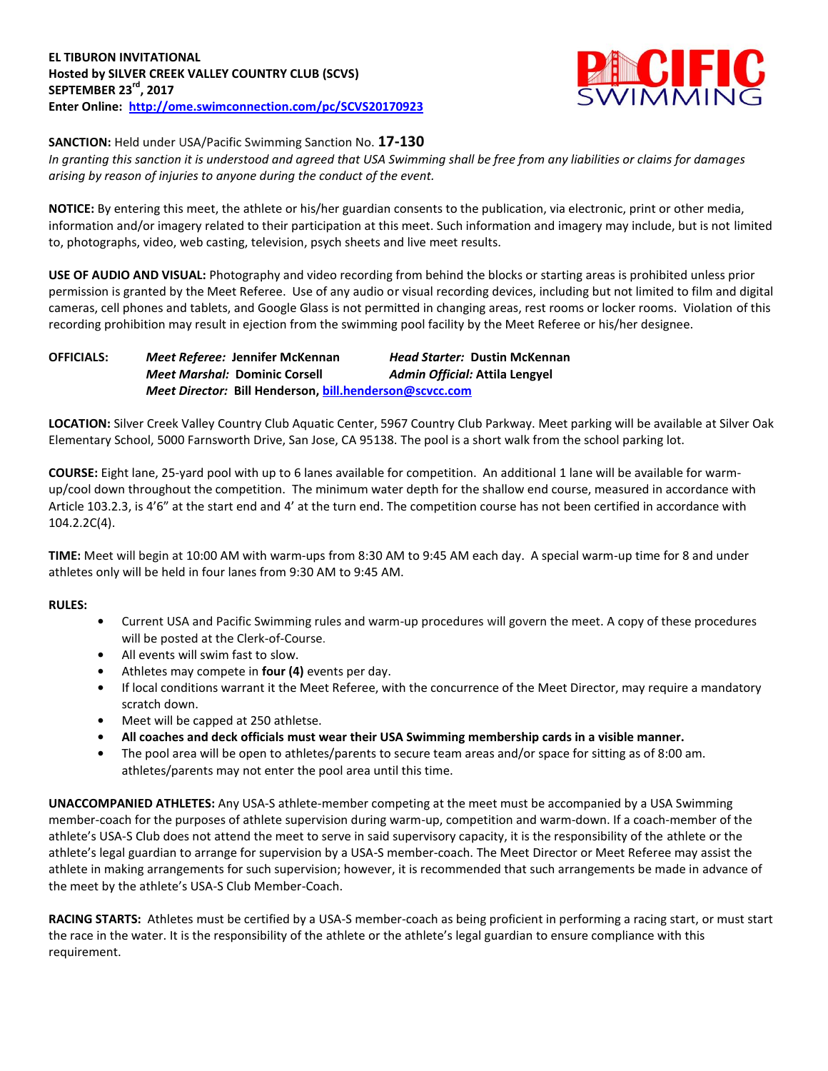

**SANCTION:** Held under USA/Pacific Swimming Sanction No. **17-130**

*In granting this sanction it is understood and agreed that USA Swimming shall be free from any liabilities or claims for damages arising by reason of injuries to anyone during the conduct of the event.*

**NOTICE:** By entering this meet, the athlete or his/her guardian consents to the publication, via electronic, print or other media, information and/or imagery related to their participation at this meet. Such information and imagery may include, but is not limited to, photographs, video, web casting, television, psych sheets and live meet results.

**USE OF AUDIO AND VISUAL:** Photography and video recording from behind the blocks or starting areas is prohibited unless prior permission is granted by the Meet Referee. Use of any audio or visual recording devices, including but not limited to film and digital cameras, cell phones and tablets, and Google Glass is not permitted in changing areas, rest rooms or locker rooms. Violation of this recording prohibition may result in ejection from the swimming pool facility by the Meet Referee or his/her designee.

**OFFICIALS:** *Meet Referee:* **Jennifer McKennan** *Head Starter:* **Dustin McKennan** *Meet Marshal:* **Dominic Corsell** *Admin Official:* **Attila Lengyel** *Meet Director:* **Bill Henderson[, bill.henderson@scvcc.com](mailto:bill.henderson@scvcc.com)**

**LOCATION:** Silver Creek Valley Country Club Aquatic Center, 5967 Country Club Parkway. Meet parking will be available at Silver Oak Elementary School, 5000 Farnsworth Drive, San Jose, CA 95138. The pool is a short walk from the school parking lot.

**COURSE:** Eight lane, 25-yard pool with up to 6 lanes available for competition. An additional 1 lane will be available for warmup/cool down throughout the competition. The minimum water depth for the shallow end course, measured in accordance with Article 103.2.3, is 4'6" at the start end and 4' at the turn end. The competition course has not been certified in accordance with 104.2.2C(4).

**TIME:** Meet will begin at 10:00 AM with warm-ups from 8:30 AM to 9:45 AM each day. A special warm-up time for 8 and under athletes only will be held in four lanes from 9:30 AM to 9:45 AM.

# **RULES:**

- **•** Current USA and Pacific Swimming rules and warm-up procedures will govern the meet. A copy of these procedures will be posted at the Clerk-of-Course.
- **•** All events will swim fast to slow.
- **•** Athletes may compete in **four (4)** events per day.
- **•** If local conditions warrant it the Meet Referee, with the concurrence of the Meet Director, may require a mandatory scratch down.
- **•** Meet will be capped at 250 athletse.
- **• All coaches and deck officials must wear their USA Swimming membership cards in a visible manner.**
- **•** The pool area will be open to athletes/parents to secure team areas and/or space for sitting as of 8:00 am. athletes/parents may not enter the pool area until this time.

**UNACCOMPANIED ATHLETES:** Any USA-S athlete-member competing at the meet must be accompanied by a USA Swimming member-coach for the purposes of athlete supervision during warm-up, competition and warm-down. If a coach-member of the athlete's USA-S Club does not attend the meet to serve in said supervisory capacity, it is the responsibility of the athlete or the athlete's legal guardian to arrange for supervision by a USA-S member-coach. The Meet Director or Meet Referee may assist the athlete in making arrangements for such supervision; however, it is recommended that such arrangements be made in advance of the meet by the athlete's USA-S Club Member-Coach.

**RACING STARTS:** Athletes must be certified by a USA-S member-coach as being proficient in performing a racing start, or must start the race in the water. It is the responsibility of the athlete or the athlete's legal guardian to ensure compliance with this requirement.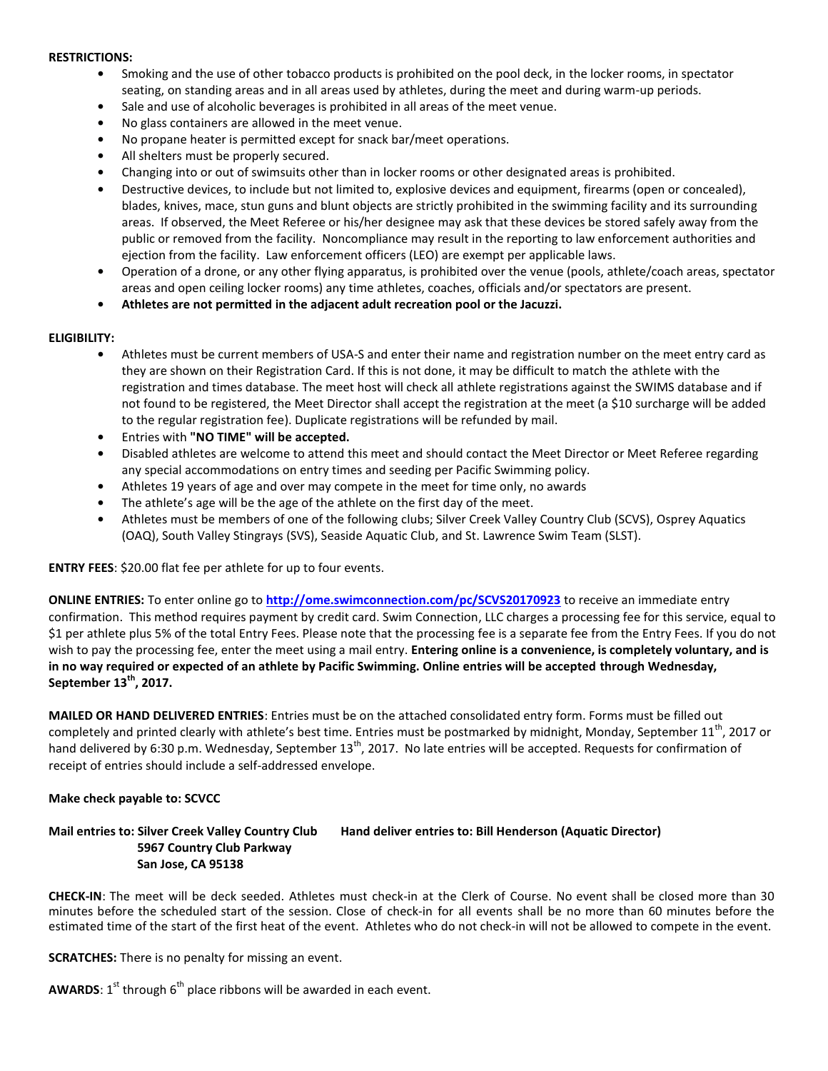#### **RESTRICTIONS:**

- **•** Smoking and the use of other tobacco products is prohibited on the pool deck, in the locker rooms, in spectator seating, on standing areas and in all areas used by athletes, during the meet and during warm-up periods.
	- **•** Sale and use of alcoholic beverages is prohibited in all areas of the meet venue.
- **•** No glass containers are allowed in the meet venue.
- **•** No propane heater is permitted except for snack bar/meet operations.
- **•** All shelters must be properly secured.
- **•** Changing into or out of swimsuits other than in locker rooms or other designated areas is prohibited.
- **•** Destructive devices, to include but not limited to, explosive devices and equipment, firearms (open or concealed), blades, knives, mace, stun guns and blunt objects are strictly prohibited in the swimming facility and its surrounding areas. If observed, the Meet Referee or his/her designee may ask that these devices be stored safely away from the public or removed from the facility. Noncompliance may result in the reporting to law enforcement authorities and ejection from the facility. Law enforcement officers (LEO) are exempt per applicable laws.
- **•** Operation of a drone, or any other flying apparatus, is prohibited over the venue (pools, athlete/coach areas, spectator areas and open ceiling locker rooms) any time athletes, coaches, officials and/or spectators are present.
- **• Athletes are not permitted in the adjacent adult recreation pool or the Jacuzzi.**

### **ELIGIBILITY:**

- **•** Athletes must be current members of USA-S and enter their name and registration number on the meet entry card as they are shown on their Registration Card. If this is not done, it may be difficult to match the athlete with the registration and times database. The meet host will check all athlete registrations against the SWIMS database and if not found to be registered, the Meet Director shall accept the registration at the meet (a \$10 surcharge will be added to the regular registration fee). Duplicate registrations will be refunded by mail.
- **•** Entries with **"NO TIME" will be accepted.**
- **•** Disabled athletes are welcome to attend this meet and should contact the Meet Director or Meet Referee regarding any special accommodations on entry times and seeding per Pacific Swimming policy.
- **•** Athletes 19 years of age and over may compete in the meet for time only, no awards
- **•** The athlete's age will be the age of the athlete on the first day of the meet.
- **•** Athletes must be members of one of the following clubs; Silver Creek Valley Country Club (SCVS), Osprey Aquatics (OAQ), South Valley Stingrays (SVS), Seaside Aquatic Club, and St. Lawrence Swim Team (SLST).

**ENTRY FEES**: \$20.00 flat fee per athlete for up to four events.

**ONLINE ENTRIES:** To enter online go to **<http://ome.swimconnection.com/pc/SCVS20170923>** to receive an immediate entry confirmation. This method requires payment by credit card. Swim Connection, LLC charges a processing fee for this service, equal to \$1 per athlete plus 5% of the total Entry Fees. Please note that the processing fee is a separate fee from the Entry Fees. If you do not wish to pay the processing fee, enter the meet using a mail entry. **Entering online is a convenience, is completely voluntary, and is in no way required or expected of an athlete by Pacific Swimming. Online entries will be accepted through Wednesday, September 13th, 2017.**

**MAILED OR HAND DELIVERED ENTRIES**: Entries must be on the attached consolidated entry form. Forms must be filled out completely and printed clearly with athlete's best time. Entries must be postmarked by midnight, Monday, September  $11<sup>th</sup>$ , 2017 or hand delivered by 6:30 p.m. Wednesday, September  $13^{th}$ , 2017. No late entries will be accepted. Requests for confirmation of receipt of entries should include a self-addressed envelope.

### **Make check payable to: SCVCC**

# **Mail entries to: Silver Creek Valley Country Club Hand deliver entries to: Bill Henderson (Aquatic Director) 5967 Country Club Parkway San Jose, CA 95138**

**CHECK-IN**: The meet will be deck seeded. Athletes must check-in at the Clerk of Course. No event shall be closed more than 30 minutes before the scheduled start of the session. Close of check-in for all events shall be no more than 60 minutes before the estimated time of the start of the first heat of the event. Athletes who do not check-in will not be allowed to compete in the event.

**SCRATCHES:** There is no penalty for missing an event.

**AWARDS:**  $1^{st}$  through  $6^{th}$  place ribbons will be awarded in each event.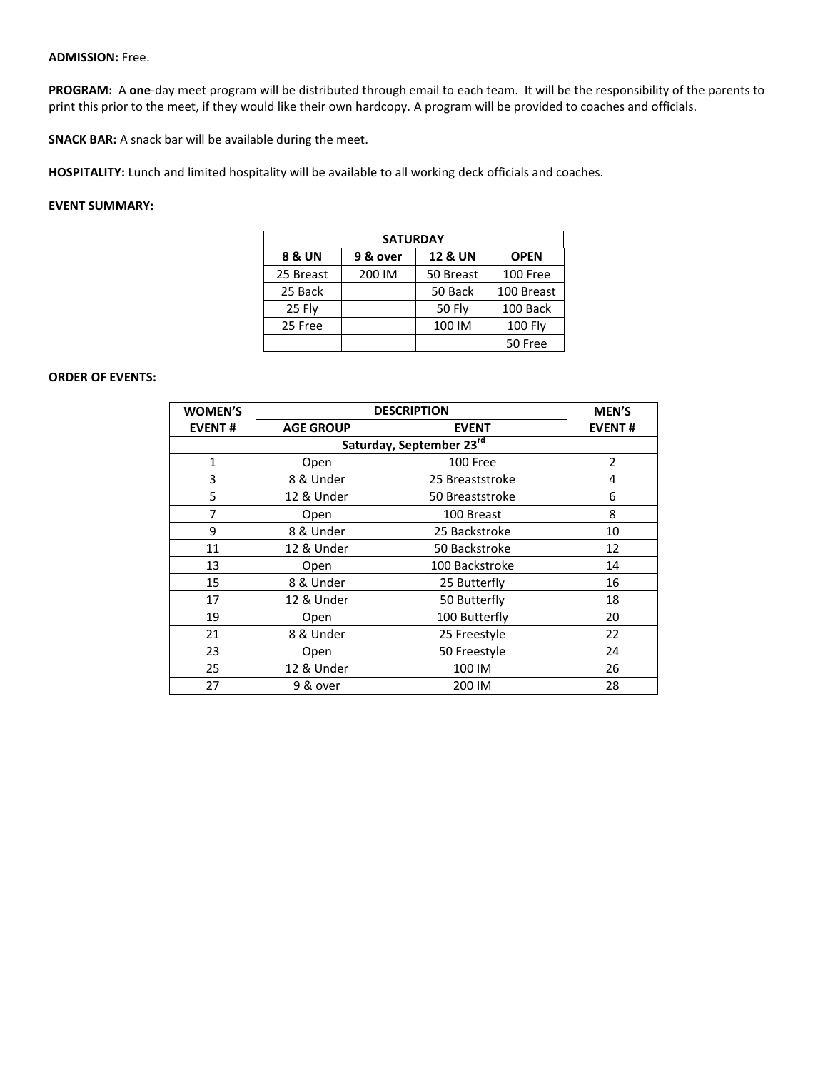### **ADMISSION:** Free.

**PROGRAM:** A **one**-day meet program will be distributed through email to each team. It will be the responsibility of the parents to print this prior to the meet, if they would like their own hardcopy. A program will be provided to coaches and officials.

**SNACK BAR:** A snack bar will be available during the meet.

**HOSPITALITY:** Lunch and limited hospitality will be available to all working deck officials and coaches.

## **EVENT SUMMARY:**

| <b>SATURDAY</b>   |          |                    |                |  |  |  |  |  |
|-------------------|----------|--------------------|----------------|--|--|--|--|--|
| <b>8 &amp; UN</b> | 9 & over | <b>12 &amp; UN</b> | <b>OPEN</b>    |  |  |  |  |  |
| 25 Breast         | 200 IM   | 50 Breast          | 100 Free       |  |  |  |  |  |
| 25 Back           |          | 50 Back            | 100 Breast     |  |  |  |  |  |
| 25 Fly            |          | <b>50 Fly</b>      | 100 Back       |  |  |  |  |  |
| 25 Free           |          | 100 IM             | <b>100 Fly</b> |  |  |  |  |  |
|                   |          |                    | 50 Free        |  |  |  |  |  |

### **ORDER OF EVENTS:**

| <b>WOMEN'S</b>           | <b>DESCRIPTION</b> | <b>MEN'S</b><br><b>EVENT#</b> |                |  |  |  |  |  |  |
|--------------------------|--------------------|-------------------------------|----------------|--|--|--|--|--|--|
| <b>EVENT#</b>            | <b>AGE GROUP</b>   |                               |                |  |  |  |  |  |  |
| Saturday, September 23rd |                    |                               |                |  |  |  |  |  |  |
| $\mathbf{1}$             | Open               | 100 Free                      | $\overline{2}$ |  |  |  |  |  |  |
| 3                        | 8 & Under          | 25 Breaststroke               | 4              |  |  |  |  |  |  |
| 5                        | 12 & Under         | 50 Breaststroke               | 6              |  |  |  |  |  |  |
| 7                        | Open               | 100 Breast                    | 8              |  |  |  |  |  |  |
| 9                        | 8 & Under          | 25 Backstroke                 | 10             |  |  |  |  |  |  |
| 11                       | 12 & Under         | 50 Backstroke                 | 12             |  |  |  |  |  |  |
| 13                       | Open               | 100 Backstroke                | 14             |  |  |  |  |  |  |
| 15                       | 8 & Under          | 25 Butterfly                  | 16             |  |  |  |  |  |  |
| 17                       | 12 & Under         | 50 Butterfly                  | 18             |  |  |  |  |  |  |
| 19                       | Open               | 100 Butterfly                 | 20             |  |  |  |  |  |  |
| 21                       | 8 & Under          | 25 Freestyle                  | 22             |  |  |  |  |  |  |
| 23                       | Open               | 50 Freestyle                  | 24             |  |  |  |  |  |  |
| 25                       | 12 & Under         | 100 IM                        | 26             |  |  |  |  |  |  |
| 27                       | 9 & over           | 200 IM                        | 28             |  |  |  |  |  |  |